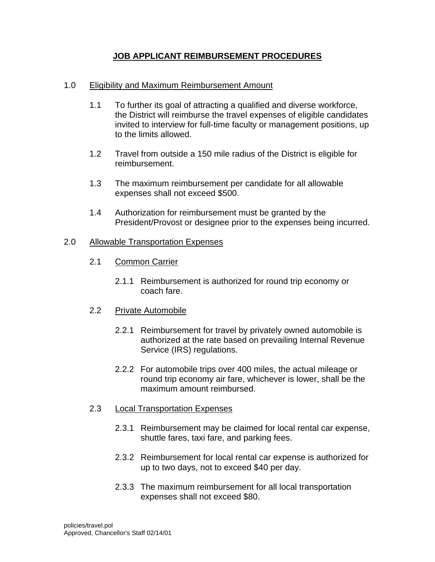## **JOB APPLICANT REIMBURSEMENT PROCEDURES**

## 1.0 Eligibility and Maximum Reimbursement Amount

- 1.1 To further its goal of attracting a qualified and diverse workforce, the District will reimburse the travel expenses of eligible candidates invited to interview for full-time faculty or management positions, up to the limits allowed.
- 1.2 Travel from outside a 150 mile radius of the District is eligible for reimbursement.
- 1.3 The maximum reimbursement per candidate for all allowable expenses shall not exceed \$500.
- 1.4 Authorization for reimbursement must be granted by the President/Provost or designee prior to the expenses being incurred.

### 2.0 Allowable Transportation Expenses

- 2.1 Common Carrier
	- 2.1.1 Reimbursement is authorized for round trip economy or coach fare.

#### 2.2 Private Automobile

- 2.2.1 Reimbursement for travel by privately owned automobile is authorized at the rate based on prevailing Internal Revenue Service (IRS) regulations.
- 2.2.2 For automobile trips over 400 miles, the actual mileage or round trip economy air fare, whichever is lower, shall be the maximum amount reimbursed.
- 2.3 Local Transportation Expenses
	- 2.3.1 Reimbursement may be claimed for local rental car expense, shuttle fares, taxi fare, and parking fees.
	- 2.3.2 Reimbursement for local rental car expense is authorized for up to two days, not to exceed \$40 per day.
	- 2.3.3 The maximum reimbursement for all local transportation expenses shall not exceed \$80.